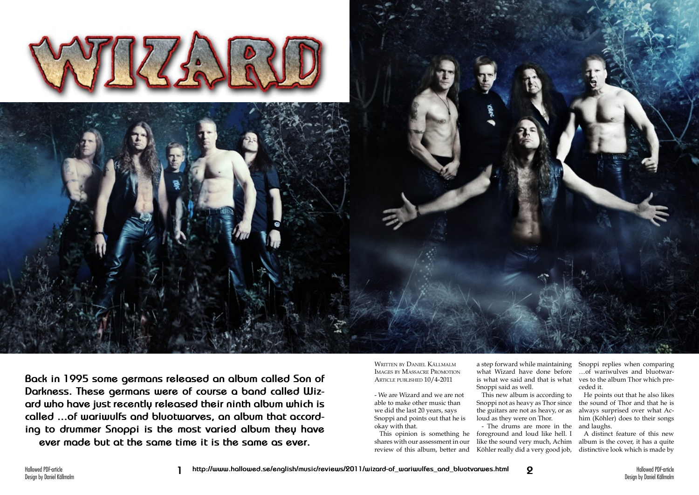

**Back in 1995 some germans released an album called Son of Darkness. These germans were of course a band called Wizard who have just recently released their ninth album which is called ...of wariwulfs and bluotwarves, an album that according to drummer Snoppi is the most varied album they have ever made but at the same time it is the same as ever.**

Written by Daniel Källmalm Images by Massacre Promotion Article published 10/4-2011

- We are Wizard and we are not able to make other music than we did the last 20 years, says Snoppi and points out that he is okay with that.

a step forward while maintaining Snoppi replies when comparing what Wizard have done before is what we said and that is what ves to the album Thor which pre-Snoppi said as well.

This opinion is something he shares with our assessment in our review of this album, better and Köhler really did a very good job,

This new album is according to Snoppi not as heavy as Thor since the guitars are not as heavy, or as loud as they were on Thor.

- The drums are more in the and laughs. foreground and loud like hell. I like the sound very much, Achim

…of wariwulves and bluotwarceded it.

He points out that he also likes the sound of Thor and that he is always surprised over what Achim (Köhler) does to their songs

A distinct feature of this new album is the cover, it has a quite distinctive look which is made by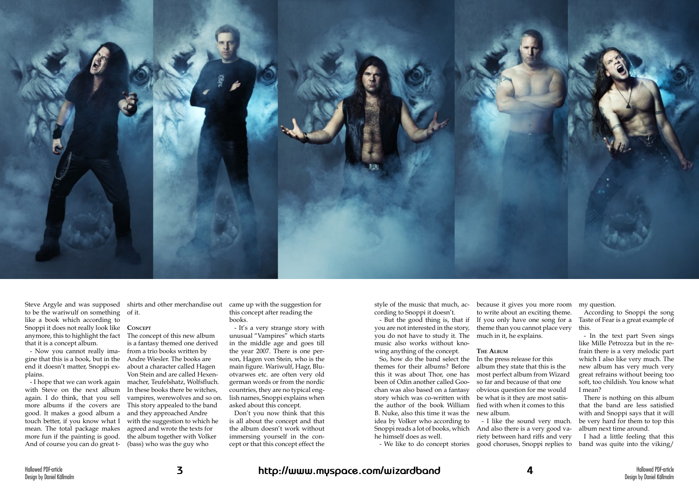- I hope that we can work again with Steve on the next album again. I do think, that you sell more albums if the covers are good. It makes a good album a touch better, if you know what I mean. The total package makes more fun if the painting is good. And of course you can do great t- (bass) who was the guy who



to be the wariwulf on something of it. like a book which according to Snoppi it does not really look like anymore, this to highlight the fact that it is a concept album.

- Now you cannot really imagine that this is a book, but in the end it doesn't matter, Snoppi ex-about a character called Hagen plains.

Steve Argyle and was supposed shirts and other merchandise out

## **Concept**

The concept of this new album is a fantasy themed one derived from a trio books written by Andre Wiesler. The books are Von Stein and are called Hexenmacher, Teufelshatz, Wolfsfluch. In these books there be witches, vampires, werewolves and so on. This story appealed to the band and they approached Andre with the suggestion to which he agreed and wrote the texts for the album together with Volker

came up with the suggestion for this concept after reading the books.

- It's a very strange story with unusual "Vampires" which starts in the middle age and goes till the year 2007. There is one person, Hagen von Stein, who is the main figure. Wariwulf, Hagr, Bluotvarwes etc. are often very old german words or from the nordic countries, they are no typical english names, Snoppi explains when asked about this concept.

Don't you now think that this is all about the concept and that the album doesn't work without immersing yourself in the concept or that this concept effect the

style of the music that much, according to Snoppi it doesn't.

you are not interested in the story, you do not have to study it. The music also works without knowing anything of the concept.

So, how do the band select the In the press release for this themes for their albums? Before album they state that this is the this it was about Thor, one has been of Odin another called Goochan was also based on a fantasy story which was co-written with the author of the book William B. Nuke, also this time it was the new album. idea by Volker who according to Snoppi reads a lot of books, which And also there is a very good vahe himself does as well.

- But the good thing is, that if If you only have one song for a because it gives you more room my question. to write about an exciting theme. theme than you cannot place very much in it, he explains.

## **The Album**

most perfect album from Wizard so far and because of that one obvious question for me would be what is it they are most satisfied with when it comes to this

- I like the sound very much. riety between hard riffs and very

- We like to do concept stories good choruses, Snoppi replies to band was quite into the viking/ I had a little feeling that this

According to Snoppi the song Taste of Fear is a great example of this.

- In the text part Sven sings like Mille Petrozza but in the refrain there is a very melodic part which I also like very much. The new album has very much very great refrains without beeing too soft, too childish. You know what I mean?

There is nothing on this album that the band are less satisfied with and Snoppi says that it will be very hard for them to top this album next time around.